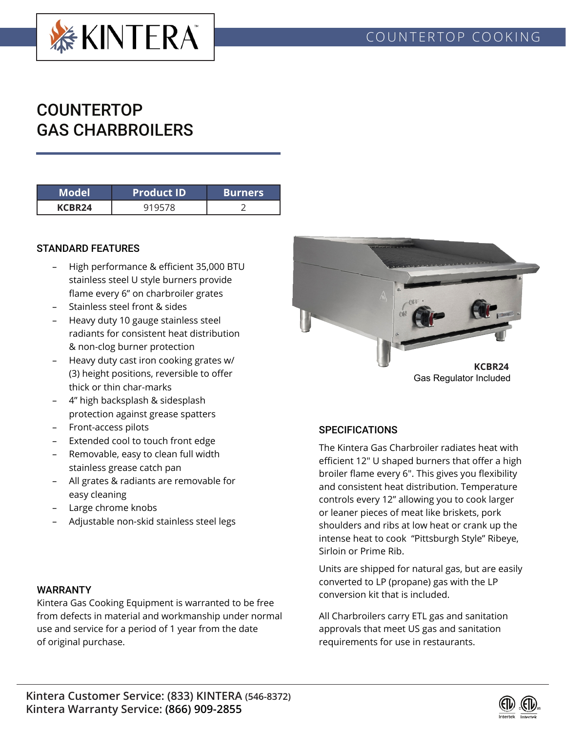

# COUNTERTOP GAS CHARBROILERS

| Model              | <b>Product ID</b> | <b>Burners</b> |
|--------------------|-------------------|----------------|
| KCBR <sub>24</sub> |                   |                |

### STANDARD FEATURES

- High performance & efficient 35,000 BTU stainless steel U style burners provide flame every 6" on charbroiler grates
- Stainless steel front & sides
- Heavy duty 10 gauge stainless steel radiants for consistent heat distribution & non-clog burner protection
- Heavy duty cast iron cooking grates w/ (3) height positions, reversible to offer thick or thin char-marks
- 4" high backsplash & sidesplash protection against grease spatters
- Front-access pilots
- Extended cool to touch front edge
- Removable, easy to clean full width stainless grease catch pan
- All grates & radiants are removable for easy cleaning
- Large chrome knobs
- Adjustable non-skid stainless steel legs

#### WARRANTY

Kintera Gas Cooking Equipment is warranted to be free from defects in material and workmanship under normal use and service for a period of 1 year from the date of original purchase.



Gas Regulator Included

# **SPECIFICATIONS**

The Kintera Gas Charbroiler radiates heat with efficient 12" U shaped burners that offer a high broiler flame every 6". This gives you flexibility and consistent heat distribution. Temperature controls every 12" allowing you to cook larger or leaner pieces of meat like briskets, pork shoulders and ribs at low heat or crank up the intense heat to cook "Pittsburgh Style" Ribeye, Sirloin or Prime Rib.

Units are shipped for natural gas, but are easily converted to LP (propane) gas with the LP conversion kit that is included.

All Charbroilers carry ETL gas and sanitation approvals that meet US gas and sanitation requirements for use in restaurants.